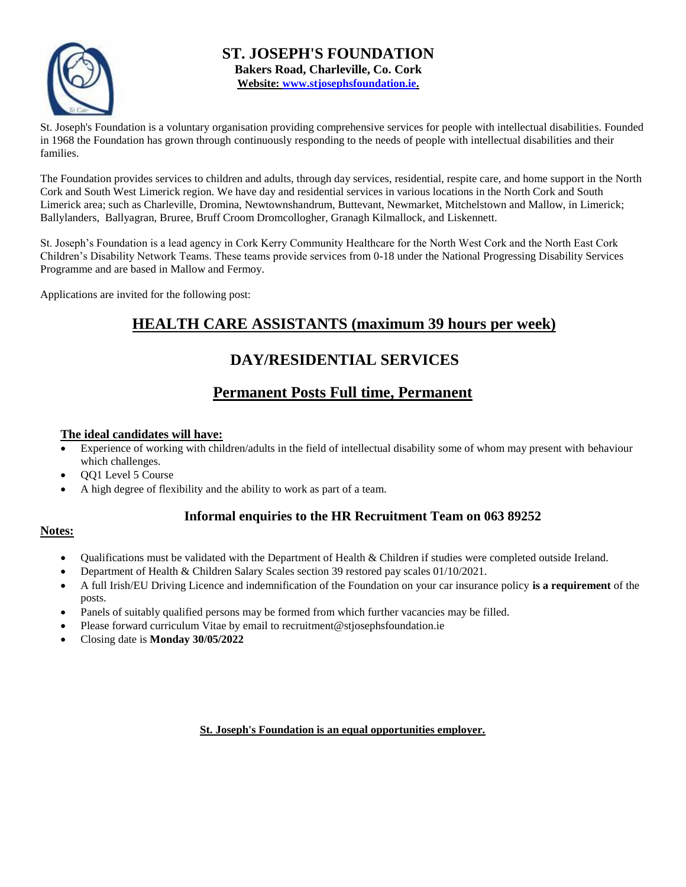

**ST. JOSEPH'S FOUNDATION Bakers Road, Charleville, Co. Cork Website: [www.stjosephsfoundation.ie.](http://www.stjosephsfoundation.ie/)**

St. Joseph's Foundation is a voluntary organisation providing comprehensive services for people with intellectual disabilities. Founded in 1968 the Foundation has grown through continuously responding to the needs of people with intellectual disabilities and their families.

The Foundation provides services to children and adults, through day services, residential, respite care, and home support in the North Cork and South West Limerick region. We have day and residential services in various locations in the North Cork and South Limerick area; such as Charleville, Dromina, Newtownshandrum, Buttevant, Newmarket, Mitchelstown and Mallow, in Limerick; Ballylanders, Ballyagran, Bruree, Bruff Croom Dromcollogher, Granagh Kilmallock, and Liskennett.

St. Joseph's Foundation is a lead agency in Cork Kerry Community Healthcare for the North West Cork and the North East Cork Children's Disability Network Teams. These teams provide services from 0-18 under the National Progressing Disability Services Programme and are based in Mallow and Fermoy.

Applications are invited for the following post:

## **HEALTH CARE ASSISTANTS (maximum 39 hours per week)**

## **DAY/RESIDENTIAL SERVICES**

## **Permanent Posts Full time, Permanent**

#### **The ideal candidates will have:**

- Experience of working with children/adults in the field of intellectual disability some of whom may present with behaviour which challenges.
- QQ1 Level 5 Course
- A high degree of flexibility and the ability to work as part of a team.

### **Informal enquiries to the HR Recruitment Team on 063 89252**

#### **Notes:**

- Qualifications must be validated with the Department of Health & Children if studies were completed outside Ireland.
- Department of Health & Children Salary Scales section 39 restored pay scales 01/10/2021.
- A full Irish/EU Driving Licence and indemnification of the Foundation on your car insurance policy **is a requirement** of the posts.
- Panels of suitably qualified persons may be formed from which further vacancies may be filled.
- Please forward curriculum Vitae by email to recruitment@stjosephsfoundation.ie
- Closing date is **Monday 30/05/2022**

**St. Joseph's Foundation is an equal opportunities employer.**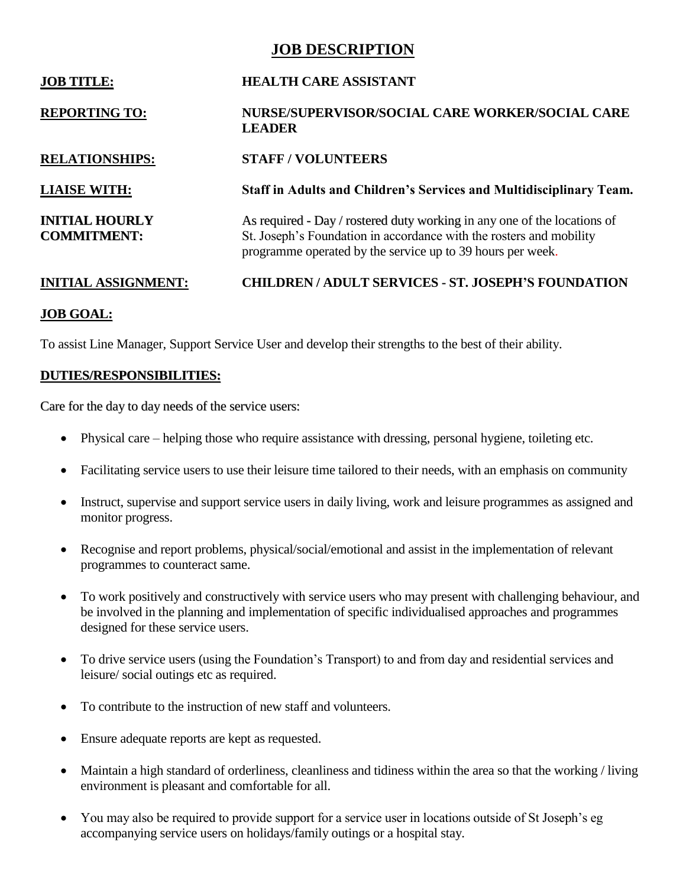## **JOB DESCRIPTION**

| <b>JOB TITLE:</b>                           | <b>HEALTH CARE ASSISTANT</b>                                                                                                                                                                                  |  |
|---------------------------------------------|---------------------------------------------------------------------------------------------------------------------------------------------------------------------------------------------------------------|--|
| <b>REPORTING TO:</b>                        | NURSE/SUPERVISOR/SOCIAL CARE WORKER/SOCIAL CARE<br><b>LEADER</b>                                                                                                                                              |  |
| <b>RELATIONSHIPS:</b>                       | <b>STAFF / VOLUNTEERS</b>                                                                                                                                                                                     |  |
| <b>LIAISE WITH:</b>                         | Staff in Adults and Children's Services and Multidisciplinary Team.                                                                                                                                           |  |
| <b>INITIAL HOURLY</b><br><b>COMMITMENT:</b> | As required - Day / rostered duty working in any one of the locations of<br>St. Joseph's Foundation in accordance with the rosters and mobility<br>programme operated by the service up to 39 hours per week. |  |
| <b>INITIAL ASSIGNMENT:</b>                  | <b>CHILDREN/ADULT SERVICES - ST. JOSEPH'S FOUNDATION</b>                                                                                                                                                      |  |

### **JOB GOAL:**

To assist Line Manager, Support Service User and develop their strengths to the best of their ability.

### **DUTIES/RESPONSIBILITIES:**

Care for the day to day needs of the service users:

- Physical care helping those who require assistance with dressing, personal hygiene, toileting etc.
- Facilitating service users to use their leisure time tailored to their needs, with an emphasis on community
- Instruct, supervise and support service users in daily living, work and leisure programmes as assigned and monitor progress.
- Recognise and report problems, physical/social/emotional and assist in the implementation of relevant programmes to counteract same.
- To work positively and constructively with service users who may present with challenging behaviour, and be involved in the planning and implementation of specific individualised approaches and programmes designed for these service users.
- To drive service users (using the Foundation's Transport) to and from day and residential services and leisure/ social outings etc as required.
- To contribute to the instruction of new staff and volunteers.
- Ensure adequate reports are kept as requested.
- Maintain a high standard of orderliness, cleanliness and tidiness within the area so that the working / living environment is pleasant and comfortable for all.
- You may also be required to provide support for a service user in locations outside of St Joseph's eg accompanying service users on holidays/family outings or a hospital stay.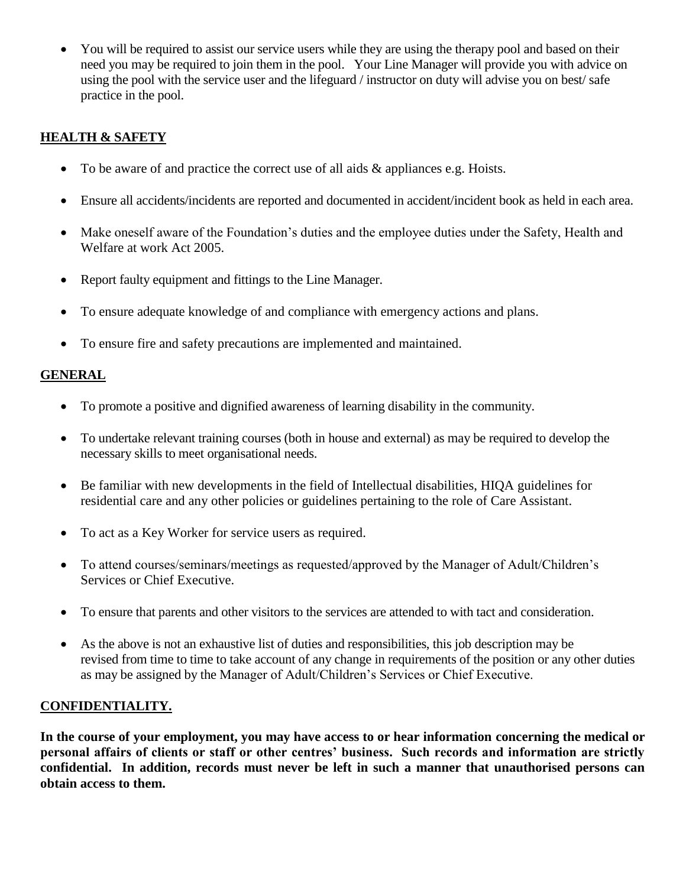You will be required to assist our service users while they are using the therapy pool and based on their need you may be required to join them in the pool. Your Line Manager will provide you with advice on using the pool with the service user and the lifeguard / instructor on duty will advise you on best/ safe practice in the pool.

## **HEALTH & SAFETY**

- To be aware of and practice the correct use of all aids & appliances e.g. Hoists.
- Ensure all accidents/incidents are reported and documented in accident/incident book as held in each area.
- Make oneself aware of the Foundation's duties and the employee duties under the Safety, Health and Welfare at work Act 2005.
- Report faulty equipment and fittings to the Line Manager.
- To ensure adequate knowledge of and compliance with emergency actions and plans.
- To ensure fire and safety precautions are implemented and maintained.

### **GENERAL**

- To promote a positive and dignified awareness of learning disability in the community.
- To undertake relevant training courses (both in house and external) as may be required to develop the necessary skills to meet organisational needs.
- Be familiar with new developments in the field of Intellectual disabilities, HIQA guidelines for residential care and any other policies or guidelines pertaining to the role of Care Assistant.
- To act as a Key Worker for service users as required.
- To attend courses/seminars/meetings as requested/approved by the Manager of Adult/Children's Services or Chief Executive.
- To ensure that parents and other visitors to the services are attended to with tact and consideration.
- As the above is not an exhaustive list of duties and responsibilities, this job description may be revised from time to time to take account of any change in requirements of the position or any other duties as may be assigned by the Manager of Adult/Children's Services or Chief Executive.

### **CONFIDENTIALITY.**

**In the course of your employment, you may have access to or hear information concerning the medical or personal affairs of clients or staff or other centres' business. Such records and information are strictly confidential. In addition, records must never be left in such a manner that unauthorised persons can obtain access to them.**